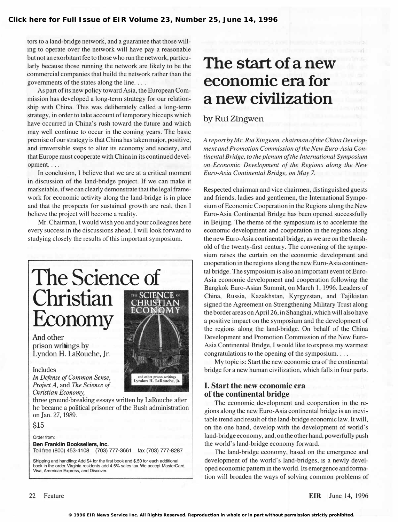tors to a land-bridge network, and a guarantee that those willing to operate over the network will have pay a reasonable but not an exorbitant fee to those who run the network, particularly because those running the network are likely to be the commercial companies that build the network rather than the governments of the states along the line....

As part of its new policy toward Asia, the European Commission has developed a long-term strategy for our relationship with China. This was deliberately called a long-term strategy, in order to take account of temporary hiccups which have occurred in China's rush toward the future and which may well continue to occur in the coming years. The basic premise of our strategy is that China has taken major, positive, and irreversible steps to alter its economy and society, and that Europe must cooperate with China in its continued development. ...

In conclusion, I believe that we are at a critical moment in discussion of the land-bridge project. If we can make it marketable, if we can clearly demonstrate that the legal framework for economic activity along the land-bridge is in place and that the prospects for sustained growth are real, then I believe the project will become a reality.

Mr. Chairman, I would wish you and your colleagues here every success in the discussions ahead. I will look forward to studying closely the results of this important symposium.

## The Science of Christian EO Economy

And other prison writings by Lyndon H. laRouche, Jr.

#### Includes

In Defense of Common Sense, Project A, and The Science of Christian Economy,

three ground-breaking essays written by laRouche after he became a political prisoner of the Bush administration on Jan. 27, 1989.

\$15

Order from: Ben Franklin Booksellers, Inc. Toll free (800) 453-4108 (703) 777-3661 fax (703) 777-8287

Shipping and handling: Add \$4 for the first book and \$.50 for each additional book in the order. Virginia residents add 4.5% sales tax. We accept MasterCard, Visa, American Express, and Discover.

# The start of a new economic era for a new civilization

### by Rui Zingwen

A report by Mr. Rui Xingwen, chairman of the China Development and Promotion Commission of the New Euro-Asia Continental Bridge, to the plenum of the International Symposium on Economic Development of the Regions along the New Euro-Asia Continental Bridge, on May 7.

Respected chairman and vice chairmen, distinguished guests and friends, ladies and gentlemen, the International Symposium of Economic Cooperation in the Regions along the New Euro-Asia Continental Bridge has been opened successfully in Beijing. The theme of the symposium is to accelerate the economic development and cooperation in the regions along the new Euro-Asia continental bridge, as we are on the threshold of the twenty-first century. The convening of the symposium raises the curtain on the economic development and cooperation in the regions along the new Euro-Asia continental bridge. The symposium is also an important event of Euro-Asia economic development and cooperation following the Bangkok Euro-Asian Summit, on March 1, 1996. Leaders of China, Russia, Kazakhstan, Kyrgyzstan, and Tajikistan signed the Agreement on Strengthening Military Trust along the border areas on April 26, in Shanghai, which will also have a positive impact on the symposium and the development of the regions along the land-bridge. On behalf of the China Development and Promotion Commission of the New Euro-Asia Continental Bridge, I would like to express my warmest congratulations to the opening of the symposium....

My topic is: Start the new economic era of the continental bridge for a new human civilization, which falls in four parts.

#### I. Start the new economic era of the continental bridge

The economic development and cooperation in the regions along the new Euro-Asia continental bridge is an inevitable trend and result of the land-bridge economic law. It will, on the one hand, develop with the development of world's land-bridge economy, and, on the other hand, powerfully push the world's land-bridge economy forward.

The land-bridge economy, based on the emergence and development of the world's land-bridges, is a newly developed economic pattern in the world. Its emergence and formation will broaden the ways of solving common problems of

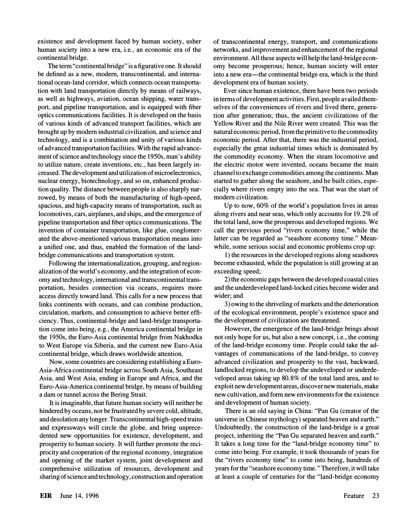existence and development faced by human society, usher human society into a new era, i.e., an economic era of the continental bridge.

The term "continental bridge" is a figurative one. It should be defined as a new, modem, transcontinental, and international ocean-land corridor, which connects ocean transportation with land transportation directly by means of railways, as well as highways, aviation, ocean shipping, water transport, and pipeline transportation, and is equipped with fiber optics communications facilities. It is developed on the basis of various kinds of advanced transport facilities, which are brought up by modem industrial civilization, and science and technology, and is a combination and unity of various kinds of advanced transportation facilities. With the rapid advancement of science and technology since the 1950s, man's ability to utilize nature, create inventions, etc., has been largely increased. The development and utilization of microelectronics, nuclear energy, biotechnology, and so on, enhanced production quality. The distance between people is also sharply narrowed, by means of both the manufacturing of high-speed, spacious, and high-capacity means of transportation, such as locomotives, cars, airplanes, and ships, and the emergence of pipeline transportation and fiber optics communications. The invention of container transportation, like glue, conglomerated the above-mentioned various transportation means into a unified one, and thus, enabled the formation of the landbridge communications and transportation system.

Following the internationalization, grouping, and regionalization of the world's economy, and the integration of economy and technology, international and transcontinental transportation, besides connection via oceans, requires more access directly toward land. This calls for a new process that links continents with oceans, and can combine production, circulation, markets, and consumption to achieve better efficiency. Thus, continental-bridge and land-bridge transportation come into being, e.g., the America continental bridge in the 1950s, the Euro-Asia continental bridge from Nakhodka to West Europe via Siberia, and the current new Euro-Asia continental bridge, which draws worldwide attention.

Now, some countries are considering establishing a Euro-Asia-Africa continental bridge across South Asia, Southeast Asia, and West Asia, ending in Europe and Africa, and the Euro-Asia-America continental bridge, by means of building a dam or tunnel across the Bering Strait.

It is imaginable, that future human society will neither be hindered by oceans, nor be frustrated by severe cold, altitude, and desolation any longer. Transcontinental high-speed trains and expressways will circle the globe, and bring unprecedented new opportunities for existence, development, and prosperity to human society. It will further promote the reciprocity and cooperation of the regional economy, integration and opening of the market system, joint development and comprehensive utilization of resources, development and sharing of science and technology, construction and operation

of transcontinental energy, transport, and communications networks, and improvement and enhancement of the regional environment. All these aspects will help the land-bridge economy become prosperous; hence, human society will enter into a new era—the continental bridge era, which is the third development era of human society.

Ever since human existence, there have been two periods in terms of development activities. First, people availed themselves of the conveniences of rivers and lived there, generation after generation; thus, the ancient civilizations of the Yellow River and the Nile River were created. This was the natural economic period, from the primitive to the commodity economic period. After that, there was the industrial period, especially the great industrial times which is dominated by the commodity economy. When the steam locomotive and the electric motor were invented, oceans became the main channel to exchange commodities among the continents. Man started to gather along the seashore, and he built cities, especially where rivers empty into the sea. That was the start of modem civilization.

Up to now, 60% of the world's population lives in areas along rivers and near seas, which only accounts for 19.2% of the total land, now the prosperous and developed regions. We call the previous period "rivers economy time," while the latter can be regarded as "seashore economy time." Meanwhile, some serious social and economic problems crop up:

1) the resources in the developed regions along seashores become exhausted, while the population is still growing at an exceeding speed;

2) the economic gaps between the developed coastal cities and the underdeveloped land-locked cities become wider and wider; and

3) owing to the shriveling of markets and the deterioration of the ecological environment, people's existence space and the development of civilization are threatened.

However, the emergence of the land-bridge brings about not only hope for us, but also a new concept, i.e., the coming of the land-bridge economy time. People could take the advantages of communications of the land-bridge, to convey advanced civilization and prosperity to the vast, backward, landlocked regions, to develop the undeveloped or underdeveloped areas taking up 80.8% of the total land area, and to exploit new development areas, discover new materials, make new cultivation, and form new environments for the existence and development of human society.

There is an old saying in China: "Pan Gu (creator of the universe in Chinese mythology) separated heaven and earth." Undoubtedly, the construction of the land-bridge is a great project, inheriting the "Pan Gu separated heaven and earth." It takes a long time for the "land-bridge economy time" to come into being. For example, it took thousands of years for the "rivers economy time" to come into being, hundreds of years for the "seashore economy time." Therefore, it will take at least a couple of centuries for the "land-bridge economy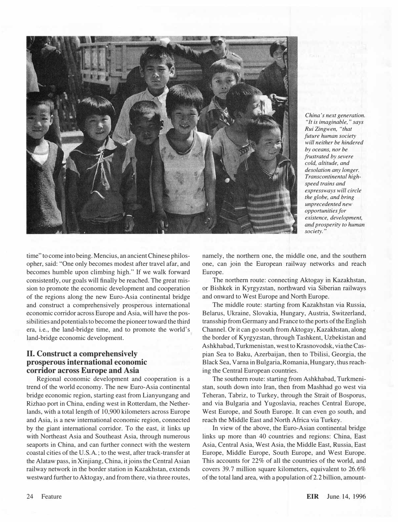

China's next generation. "It is imaginable, " says Rui Zingwen, "that future human society will neither be hindered by oceans, nor be frustrated by severe cold, altitude, and desolation any longer. Transcontinental highspeed trains and expressways will circle the globe, and bring unprecedented new opportunities for existence, development, and prosperity to human society. "

time" to come into being. Mencius, an ancient Chinese philosopher, said: "One only becomes modest after travel afar, and becomes humble upon climbing high." If we walk forward consistently, our goals will finalIy be reached. The great mission to promote the economic development and cooperation of the regions along the new Euro-Asia continental bridge and construct a comprehensively prosperous international economic corridor across Europe and Asia, will have the possibilities and potentials to become the pioneer toward the third era, i.e., the land-bridge time, and to promote the world's land-bridge economic development.

#### II. Construct a comprehensively prosperous international economic corridor across Europe and Asia

Regional economic development and cooperation is a trend of the world economy. The new Euro-Asia continental bridge economic region, starting east from Lianyungang and Rizhao port in China, ending west in Rotterdam, the Netherlands, with a total length of 10,900 kilometers across Europe and Asia, is a new international economic region, connected by the giant international corridor. To the east, it links up with Northeast Asia and Southeast Asia, through numerous seaports in China, and can further connect with the western coastal cities of the U.S.A.; to the west, after track-transfer at the Alataw pass, in Xinjiang, China, it joins the Central Asian railway network in the border station in Kazakhstan, extends westward further to Aktogay, and from there, via three routes,

namely, the northern one, the middle one, and the southern one, can join the European railway networks and reach Europe.

The northern route: connecting Aktogay in Kazakhstan, or Bishkek in Kyrgyzstan, northward via Siberian railways and onward to West Europe and North Europe.

The middle route: starting from Kazakhstan via Russia, Belarus, Ukraine, Slovakia, Hungary, Austria, Switzerland, transship from Germany and France to the ports of the English Channel. Or it can go south from Aktogay, Kazakhstan, along the border of Kyrgyzstan, through Tashkent, Uzbekistan and Ashkhabad, Turkmenistan, west to Krasnovodsk, via the Caspian Sea to Baku, Azerbaijan, then to Tbilisi, Georgia, the Black Sea, Varna in Bulgaria, Romania, Hungary, thus reaching the Central European countries.

The southern route: starting from Ashkhabad, Turkmenistan, south down into Iran, then from Mashhad go west via Teheran, Tabriz, to Turkey, through the Strait of Bosporus, and via Bulgaria and Yugoslavia, reaches Central Europe, West Europe, and South Europe. It can even go south, and reach the Middle East and North Africa via Turkey.

In view of the above, the Euro-Asian continental bridge links up more than 40 countries and regions: China, East Asia, Central Asia, West Asia, the Middle East, Russia, East Europe, Middle Europe, South Europe, and West Europe. This accounts for 22% of alI the countries of the world, and covers 39.7 million square kilometers, equivalent to 26.6% of the total land area, with a population of 2.2 billion, amount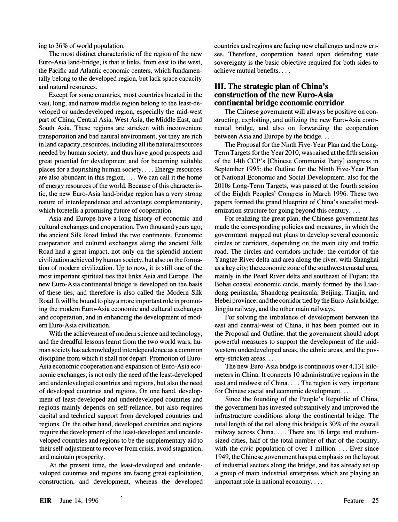ing to 36% of world population.

The most distinct characteristic of the region of the new Euro-Asia land-bridge, is that it links, from east to the west, the Pacific and Atlantic economic centers, which fundamentally belong to the developed region, but lack space capacity and natural resources.

Except for some countries, most countries located in the vast, long, and narrow middle region belong to the least-developed or underdeveloped region, especially the mid-west part of China, Central Asia, West Asia, the Middle East, and South Asia. These regions are stricken with inconvenient transportation and bad natural environment, yet they are rich in land capacity, resources, including all the natural resources needed by human society, and thus have good prospects and great potential for development and for becoming suitable places for a flourishing human society.... Energy resources are also abundant in this region .... We can call it the home of energy resources of the world. Because of this characteristic, the new Euro-Asia land-bridge region has a very strong nature of interdependence and advantage complementarity, which foretells a promising future of cooperation.

Asia and Europe have a long history of economic and cultural exchanges and cooperation. Two thousand years ago, the ancient Silk Road linked the two continents. Economic cooperation and cultural exchanges along the ancient Silk Road had a great impact, not only on the splendid ancient civilization achieved by human society, but also on the formation of modem civilization. Up to now, it is still one of the most important spiritual ties that links Asia and Europe. The new Euro-Asia continental bridge is developed on the basis of these ties, and therefore is also called the Modem Silk Road. It will be bound to play a more important role in promoting the modem Euro-Asia economic and cultural exchanges and cooperation, and in enhancing the development of modem Euro-Asia civilization.

With the achievement of modem science and technology, and the dreadful lessons learnt from the two world wars, human society has acknowledged interdependence as a common discipline from which it shall not depart. Promotion of Euro-Asia economic cooperation and expansion of Euro-Asia economic exchanges, is not only the need of the least-developed and underdeveloped countries and regions, but also the need of developed countries and regions. On one hand, development of least-developed and underdeveloped countries and regions mainly depends on self-reliance, but also requires capital and technical support from developed countries and regions. On the other hand, developed countries and regions require the development of the least -developed and underdeveloped countries and regions to be the supplementary aid to their self-adjustment to recover from crisis, avoid stagnation, and maintain prosperity.

At the present time, the least-developed and underdeveloped countries and regions are facing great exploitation, construction, and development, whereas the developed countries and regions are facing new challenges and new crises. Therefore, cooperation based upon defending state sovereignty is the basic objective required for both sides to achieve mutual benefits....

#### III. The strategic plan of China's construction of the new Euro-Asia continental bridge economic corridor

The Chinese government will always be positive on constructing, exploiting, and utilizing the new Euro-Asia continental bridge, and also on forwarding the cooperation between Asia and Europe by the bridge....

The Proposal for the Ninth Five-Year Plan and the Long-Term Targets for the Year 2010, was raised at the fifth session of the 14th CCP's [Chinese Communist Party] congress in September 1995; the Outline for the Ninth Five-Year Plan of National Economic and Social Development, also for the 2010s Long-Term Targets, was passed at the fourth session of the Eighth Peoples' Congress in March 1996. These two papers formed the grand blueprint of China's socialist modernization structure for going beyond this century....

For realizing the great plan, the Chinese government has made the corresponding policies and measures, in which the government mapped out plans to develop several economic circles or corridors, depending on the main city and traffic road. The circles and corridors include: the corridor of the Yangtze River delta and area along the river, with Shanghai as a key city; the economic zone of the southwest coastal area, mainly in the Pearl River delta and southeast of Fujian; the Bohai coastal economic circle, mainly formed by the Liaodong peninsula, Shandong peninsula, Beijing, Tianjin, and Hebei province; and the corridor tied by the Euro-Asia bridge, Jingjiu railway, and the other main railways.

For solving the imbalance of development between the east and central-west of China, it has been pointed out in the Proposal and Outline, that the government should adopt powerful measures to support the development of the midwestern underdeveloped areas, the ethnic areas, and the poverty-stricken areas....

The new Euro-Asia bridge is continuous over 4,131 kilometers in China. It connects 10 administrative regions in the east and midwest of China.... The region is very important for Chinese social and economic development. ...

Since the founding of the People's Republic of China, the government has invested substantively and improved the infrastructure conditions along the continental bridge. The total length of the rail along this bridge is 30% of the overall railway across China.... There are 16 large and mediumsized cities, half of the total number of that of the country, with the civic population of over 1 million.  $\ldots$  Ever since 1949, the Chinese government has put emphasis on the layout of industrial sectors along the bridge, and has already set up a group of main industrial enterprises which are playing an important role in national economy....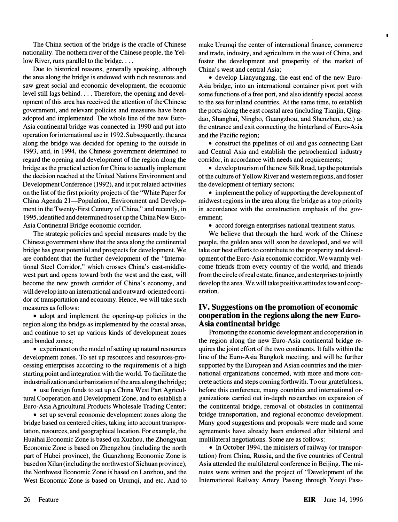The China section of the bridge is the cradle of Chinese nationality. The nothern river of the Chinese people, the Yellow River, runs parallel to the bridge....

Due to historical reasons, generally speaking, although the area along the bridge is endowed with rich resources and saw great social and economic development, the economic level still lags behind.... Therefore, the opening and development of this area has received the attention of the Chinese government, and relevant policies and measures have been adopted and implemented. The whole line of the new Euro-Asia continental bridge was connected in 1990 and put into operation for international use in 1992. Subsequently, the area along the bridge was decided for opening to the outside in 1993, and, in 1994, the Chinese government determined to regard the opening and development of the region along the bridge as the practical action for China to actually implement the decision reached at the United Nations Environment and Development Conference (1992), and it put related activities on the list of the first priority projects of the "White Paper for China Agenda 21-Population, Environment and Development in the Twenty-First Century of China," and recently, in 1995, identified and determined to set up the China New Euro-Asia Continental Bridge economic corridor.

The strategic policies and special measures made by the Chinese government show that the area along the continental bridge has great potential and prospects for development. We are confident that the further development of the "International Steel Corridor," which crosses China's east-middlewest part and opens toward both the west and the east, will become the new growth corridor of China's economy, and will develop into an international and outward-oriented corridor of transportation and economy. Hence, we will take such measures as follows:

• adopt and implement the opening-up policies in the region along the bridge as implemented by the coastal areas, and continue to set up various kinds of development zones and bonded zones;

• experiment on the model of setting up natural resources development zones. To set up resources and resources-processing enterprises according to the requirements of a high starting point and integration with the world. To facilitate the industrialization and urbanization of the area along the bridge;

• use foreign funds to set up a China West Part Agricultural Cooperation and Development Zone, and to establish a Euro-Asia Agricultural Products Wholesale Trading Center;

• set up several economic development zones along the bridge based on centered cities, taking into account transportation, resources, and geographical location. For example, the Huaihai Economic Zone is based on Xuzhou, the Zhongyuan Economic Zone is based on Zhengzhou (including the north part of Hubei province), the Guanzhong Economic Zone is based on Xilan (including the northwest of Sichuan province), the Northwest Economic Zone is based on Lanzhou, and the West Economic Zone is based on Urumqi, and etc. And to

make Urumqi the center of international finance, commerce and trade, industry, and agriculture in the west of China, and foster the development and prosperity of the market of China's west and central Asia;

 $\blacksquare$ 

• develop Lianyungang, the east end of the new Euro-Asia bridge, into an international container pivot port with some functions of a free port, and also identify special access to the sea for inland countries. At the same time, to establish the ports along the east coastal area (including Tianjin, Qingdao, Shanghai, Ningbo, Guangzhou, and Shenzhen, etc.) as the entrance and exit connecting the hinterland of Euro-Asia and the Pacific region;

• construct the pipelines of oil and gas connecting East and Central Asia and establish the petrochemical industry corridor, in accordance with needs and requirements;

• develop tourism of the new Silk Road, tap the potentials of the culture of Yellow River and western regions, and foster the development of tertiary sectors;

• implement the policy of supporting the development of midwest regions in the area along the bridge as a top priority in accordance with the construction emphasis of the government;

• accord foreign enterprises national treatment status.

We believe that through the hard work of the Chinese people, the golden area will soon be developed, and we will take our best efforts to contribute to the prosperity and development of the Euro-Asia economic corridor. We warmly welcome friends from every country of the world, and friends from the circle of real estate, finance, and enterprises to jointly develop the area. We will take positive attitudes toward cooperation.

#### IV. Suggestions on the promotion of economic cooperation in the regions along the new Euro-Asia continental bridge

Promoting the economic development and cooperation in the region along the new Euro-Asia continental bridge requires the joint effort of the two continents. It falls within the line of the Euro-Asia Bangkok meeting, and will be further supported by the European and Asian countries and the international organizations concerned, with more and more concrete actions and steps coming forthwith. To our gratefulness, before this conference, many countries and international organizations carried out in-depth researches on expansion of the continental bridge, removal of obstacles in continental bridge transportation, and regional economic development. Many good suggestions and proposals were made and some agreements have already been endorsed after bilateral and multilateral negotiations. Some are as follows:

• In October 1994, the ministers of railway (or transportation) from China, Russia, and the five countries of Central Asia attended the multilateral conference in Beijing. The minutes were written and the project of "Development of the International Railway Artery Passing through Youyi Pass-